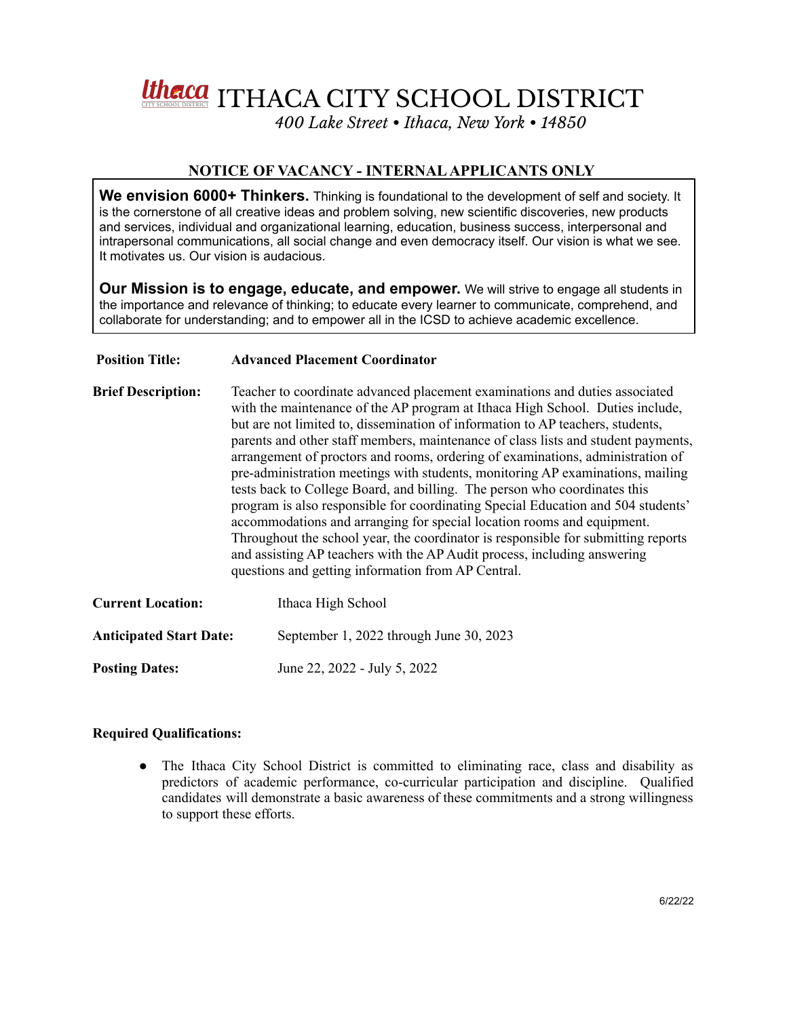

## **NOTICE OF VACANCY - INTERNALAPPLICANTS ONLY**

**We envision 6000+ Thinkers.** Thinking is foundational to the development of self and society. It is the cornerstone of all creative ideas and problem solving, new scientific discoveries, new products and services, individual and organizational learning, education, business success, interpersonal and intrapersonal communications, all social change and even democracy itself. Our vision is what we see. It motivates us. Our vision is audacious.

**Our Mission is to engage, educate, and empower.** We will strive to engage all students in the importance and relevance of thinking; to educate every learner to communicate, comprehend, and collaborate for understanding; and to empower all in the ICSD to achieve academic excellence.

## **Position Title: Advanced Placement Coordinator**

**Brief Description:** Teacher to coordinate advanced placement examinations and duties associated with the maintenance of the AP program at Ithaca High School. Duties include, but are not limited to, dissemination of information to AP teachers, students, parents and other staff members, maintenance of class lists and student payments, arrangement of proctors and rooms, ordering of examinations, administration of pre-administration meetings with students, monitoring AP examinations, mailing tests back to College Board, and billing. The person who coordinates this program is also responsible for coordinating Special Education and 504 students' accommodations and arranging for special location rooms and equipment. Throughout the school year, the coordinator is responsible for submitting reports and assisting AP teachers with the AP Audit process, including answering questions and getting information from AP Central.

| <b>Current Location:</b>       | Ithaca High School                      |
|--------------------------------|-----------------------------------------|
| <b>Anticipated Start Date:</b> | September 1, 2022 through June 30, 2023 |
| <b>Posting Dates:</b>          | June 22, 2022 - July 5, 2022            |

## **Required Qualifications:**

• The Ithaca City School District is committed to eliminating race, class and disability as predictors of academic performance, co-curricular participation and discipline. Qualified candidates will demonstrate a basic awareness of these commitments and a strong willingness to support these efforts.